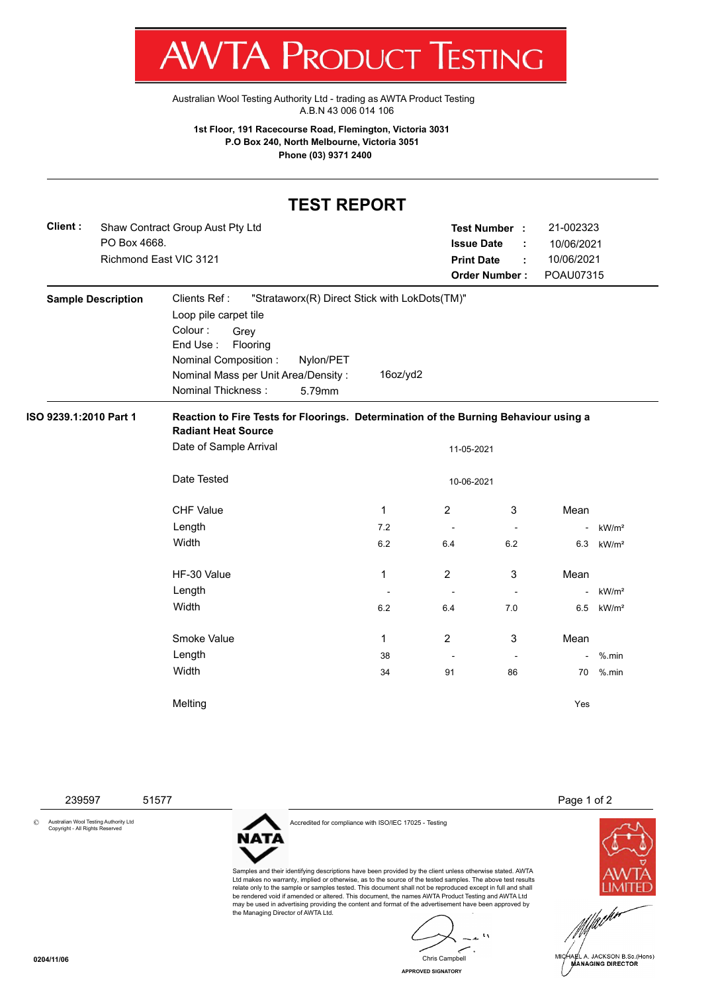

[Australian Wool Testing Authority Ltd - trading as AWTA Product Testing](http://www.awtaproducttesting.com.au/) A.B.N 43 006 014 106

**1st Floor, 191 Racecourse Road, Flemington, Victoria 3031 P.O Box 240, North Melbourne, Victoria 3051 Phone (03) 9371 2400**

## **TEST REPORT**

| Client : | Shaw Contract Group Aust Pty Ltd | Test Number :        | 21-002323  |
|----------|----------------------------------|----------------------|------------|
|          | PO Box 4668.                     | <b>Issue Date</b>    | 10/06/2021 |
|          | Richmond East VIC 3121           | <b>Print Date</b>    | 10/06/2021 |
|          |                                  | <b>Order Number:</b> | POAU07315  |

| <b>Sample Description</b> | Clients Ref:<br>Loop pile carpet tile<br>Colour:<br>Grey<br>End Use:<br>Flooring<br>Nominal Composition:<br>Nominal Mass per Unit Area/Density:<br><b>Nominal Thickness:</b> | Nylon/PET<br>5.79mm | "Strataworx(R) Direct Stick with LokDots(TM)"<br>16oz/yd2 |                          |                          |                          |                   |
|---------------------------|------------------------------------------------------------------------------------------------------------------------------------------------------------------------------|---------------------|-----------------------------------------------------------|--------------------------|--------------------------|--------------------------|-------------------|
| ISO 9239.1:2010 Part 1    | Reaction to Fire Tests for Floorings. Determination of the Burning Behaviour using a                                                                                         |                     |                                                           |                          |                          |                          |                   |
|                           | <b>Radiant Heat Source</b><br>Date of Sample Arrival                                                                                                                         |                     |                                                           | 11-05-2021               |                          |                          |                   |
|                           | Date Tested                                                                                                                                                                  |                     |                                                           | 10-06-2021               |                          |                          |                   |
|                           | <b>CHF Value</b>                                                                                                                                                             |                     | 1                                                         | $\overline{2}$           | 3                        | Mean                     |                   |
|                           | Length                                                                                                                                                                       |                     | 7.2                                                       | $\overline{\phantom{a}}$ | $\overline{\phantom{a}}$ | $\overline{\phantom{a}}$ | kW/m <sup>2</sup> |
|                           | Width                                                                                                                                                                        |                     | 6.2                                                       | 6.4                      | 6.2                      | 6.3                      | kW/m <sup>2</sup> |
|                           | HF-30 Value                                                                                                                                                                  |                     | 1                                                         | $\overline{2}$           | 3                        | Mean                     |                   |
|                           | Length                                                                                                                                                                       |                     |                                                           | $\overline{\phantom{a}}$ |                          | ä,                       | kW/m <sup>2</sup> |
|                           | Width                                                                                                                                                                        |                     | 6.2                                                       | 6.4                      | 7.0                      | 6.5                      | kW/m <sup>2</sup> |
|                           | Smoke Value                                                                                                                                                                  |                     | 1                                                         | 2                        | 3                        | Mean                     |                   |
|                           | Length                                                                                                                                                                       |                     | 38                                                        |                          | $\overline{\phantom{a}}$ | $\blacksquare$           | $%$ .min          |
|                           | Width                                                                                                                                                                        |                     | 34                                                        | 91                       | 86                       | 70                       | $%$ .min          |
|                           | Melting                                                                                                                                                                      |                     |                                                           |                          |                          | Yes                      |                   |

© Australian Wool Testing Authority Ltd Copyright - All Rights Reserved



Accredited for compliance with ISO/IEC 17025 - Testing

239597 51577 Page 1 of 2



Samples and their identifying descriptions have been provided by the client unless otherwise stated. AWTA Ltd makes no warranty, implied or otherwise, as to the source of the tested samples. The above test results relate only to the sample or samples tested. This document shall not be reproduced except in full and shall be rendered void if amended or altered. This document, the names AWTA Product Testing and AWTA Ltd may be used in advertising providing the content and format of the advertisement have been approved by the Managing Director of AWTA Ltd.

 $\mathbf{A}$ Chris Campbell

**APPROVED SIGNATORY**